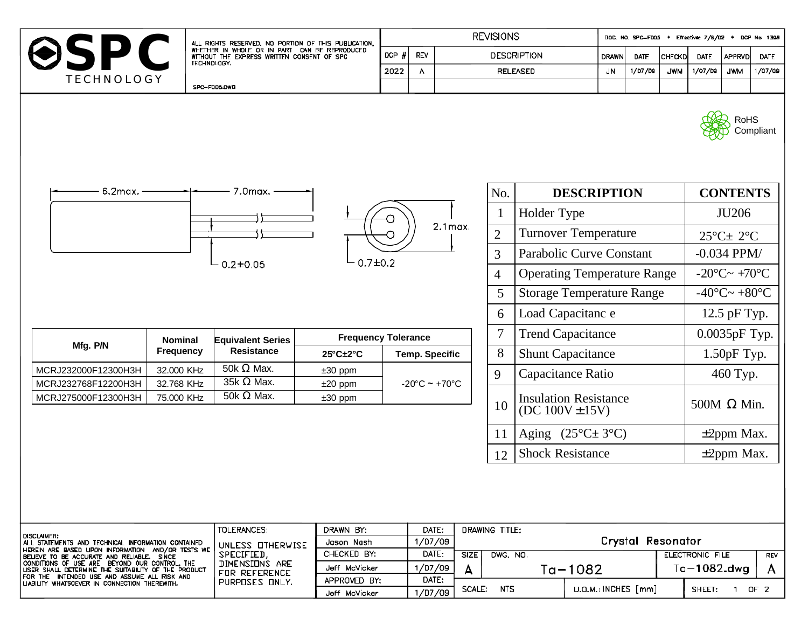|                                                                                                                                                                                                                                                                                                                                                                                      |                              |                                                                                                                                                     | <b>REVISIONS</b>                                         |                                   |                                    |                |                                    | DOC, NO, SPC-FDO5 + Effective: 7/8/02 + DCP No: 1398 |             |                                      |                                      |                    |                  |            |
|--------------------------------------------------------------------------------------------------------------------------------------------------------------------------------------------------------------------------------------------------------------------------------------------------------------------------------------------------------------------------------------|------------------------------|-----------------------------------------------------------------------------------------------------------------------------------------------------|----------------------------------------------------------|-----------------------------------|------------------------------------|----------------|------------------------------------|------------------------------------------------------|-------------|--------------------------------------|--------------------------------------|--------------------|------------------|------------|
| ⊖SPC<br>TECHNOLOGY.<br><b>TECHNOLOGY</b>                                                                                                                                                                                                                                                                                                                                             |                              | ALL RIGHTS RESERVED. NO PORTION OF THIS PUBLICATION.<br>WHETHER IN WHOLE OR IN PART CAN BE REPRODUCED<br>WITHOUT THE EXPRESS WRITTEN CONSENT OF SPC |                                                          | $DCP$ $#$                         | REV                                |                | <b>DESCRIPTION</b>                 |                                                      |             | <b>DRAWN</b><br><b>DATE</b>          | CHECKD                               | DATE               | <b>APPRVD</b>    | DATE       |
|                                                                                                                                                                                                                                                                                                                                                                                      |                              |                                                                                                                                                     |                                                          | 2022                              | $\overline{A}$                     |                | <b>RELEASED</b>                    |                                                      |             | 1/07/09                              | <b>JWM</b>                           | 1/07/00            | <b>JWM</b>       | 1/07/09    |
|                                                                                                                                                                                                                                                                                                                                                                                      |                              | SPC-FOD5.DWB                                                                                                                                        |                                                          |                                   |                                    |                |                                    |                                                      |             |                                      |                                      |                    |                  |            |
|                                                                                                                                                                                                                                                                                                                                                                                      |                              |                                                                                                                                                     |                                                          |                                   |                                    |                |                                    |                                                      |             |                                      |                                      |                    | <b>RoHS</b>      | Compliant  |
| 6.2max. -<br>7.0max.                                                                                                                                                                                                                                                                                                                                                                 |                              |                                                                                                                                                     |                                                          |                                   |                                    |                | No.                                | <b>DESCRIPTION</b>                                   |             |                                      |                                      | <b>CONTENTS</b>    |                  |            |
|                                                                                                                                                                                                                                                                                                                                                                                      |                              |                                                                                                                                                     |                                                          |                                   |                                    |                | Holder Type                        |                                                      |             |                                      | JU206                                |                    |                  |            |
| $2.1$ max.<br>$0.7 + 0.2$<br>$0.2 + 0.05$                                                                                                                                                                                                                                                                                                                                            |                              |                                                                                                                                                     |                                                          |                                   |                                    | $\overline{2}$ |                                    | <b>Turnover Temperature</b>                          |             | $25^{\circ}$ C $\pm$ 2°C             |                                      |                    |                  |            |
|                                                                                                                                                                                                                                                                                                                                                                                      |                              |                                                                                                                                                     |                                                          |                                   |                                    | $\overline{3}$ | Parabolic Curve Constant           |                                                      |             |                                      | $-0.034$ PPM/                        |                    |                  |            |
|                                                                                                                                                                                                                                                                                                                                                                                      |                              |                                                                                                                                                     |                                                          |                                   |                                    | $\overline{4}$ | <b>Operating Temperature Range</b> |                                                      |             |                                      | $-20^{\circ}$ C $\sim +70^{\circ}$ C |                    |                  |            |
|                                                                                                                                                                                                                                                                                                                                                                                      |                              |                                                                                                                                                     |                                                          |                                   |                                    | 5              | <b>Storage Temperature Range</b>   |                                                      |             | $-40^{\circ}$ C $\sim +80^{\circ}$ C |                                      |                    |                  |            |
|                                                                                                                                                                                                                                                                                                                                                                                      |                              |                                                                                                                                                     |                                                          |                                   |                                    |                | 6                                  | Load Capacitanc e                                    |             |                                      |                                      |                    | 12.5 pF Typ.     |            |
| <b>Nominal</b>                                                                                                                                                                                                                                                                                                                                                                       |                              |                                                                                                                                                     | <b>Frequency Tolerance</b><br><b>Equivalent Series</b>   |                                   |                                    |                | 7                                  | <b>Trend Capacitance</b>                             |             |                                      |                                      | 0.0035pF Typ.      |                  |            |
|                                                                                                                                                                                                                                                                                                                                                                                      | Mfg. P/N<br><b>Frequency</b> |                                                                                                                                                     | <b>Resistance</b><br>$25^{\circ}$ C $\pm$ 2 $^{\circ}$ C |                                   | <b>Temp. Specific</b>              |                | 8                                  | <b>Shunt Capacitance</b>                             |             |                                      |                                      | $1.50pF$ Typ.      |                  |            |
| MCRJ232000F12300H3H<br>MCRJ232768F12200H3H                                                                                                                                                                                                                                                                                                                                           | 32.000 KHz<br>32.768 KHz     | 50k $\Omega$ Max.<br>$35k \Omega$ Max.                                                                                                              | $±30$ ppm<br>$±20$ ppm                                   |                                   |                                    | 9              |                                    | Capacitance Ratio                                    |             |                                      | 460 Typ.                             |                    |                  |            |
| MCRJ275000F12300H3H                                                                                                                                                                                                                                                                                                                                                                  | 75.000 KHz                   | 50k $\Omega$ Max.                                                                                                                                   | $±30$ ppm                                                | $-20^{\circ}$ C ~ $+70^{\circ}$ C |                                    |                | 10                                 | <b>Insulation Resistance</b><br>$(DC 100V \pm 15V)$  |             |                                      |                                      | 500M $\Omega$ Min. |                  |            |
|                                                                                                                                                                                                                                                                                                                                                                                      |                              |                                                                                                                                                     |                                                          |                                   |                                    |                | 11                                 | Aging $(25^{\circ}C \pm 3^{\circ}C)$                 |             |                                      |                                      |                    | $\pm 2$ ppm Max. |            |
|                                                                                                                                                                                                                                                                                                                                                                                      |                              |                                                                                                                                                     |                                                          |                                   |                                    |                | 12                                 | <b>Shock Resistance</b>                              |             |                                      |                                      |                    | $\pm 2$ ppm Max. |            |
|                                                                                                                                                                                                                                                                                                                                                                                      |                              |                                                                                                                                                     |                                                          |                                   |                                    |                |                                    |                                                      |             |                                      |                                      |                    |                  |            |
| <b>DISCLAIMER:</b><br>ALL STATEMENTS AND TECHNICAL INFORMATION CONTAINED<br>HEREIN ARE BASED UPON INFORMATION AND/OR TESTS WE<br>BELIEVE TO BE ACCURATE AND RELIABLE. SINCE<br>CONDITIONS OF USE ARE BEYOND OUR CONTROL, THE<br>USER SHALL DETERMINE THE SUITABILITY OF THE PRODUCT<br>FOR THE INTENDED USE AND ASSUME ALL RISK AND<br>LIABILITY WHATSCEVER IN CONNECTION THEREWITH. |                              | TOLERANCES:                                                                                                                                         | DRAWN BY:<br>Jason Nash                                  |                                   | DRAWING TITLE:<br>DATE:<br>1/07/09 |                |                                    | <b>Crystal Resonator</b>                             |             |                                      |                                      |                    |                  |            |
|                                                                                                                                                                                                                                                                                                                                                                                      |                              | UNLESS OTHERWISE<br>SPECIFIED,                                                                                                                      | CHECKED BY:                                              | DATE:                             |                                    | <b>SIZE</b>    | DWG. NO.                           |                                                      |             |                                      |                                      | ELECTRONIC FILE    |                  | <b>REV</b> |
|                                                                                                                                                                                                                                                                                                                                                                                      |                              | DIMENSIONS ARE                                                                                                                                      | Jeff McVicker                                            |                                   | פס/ 1/07                           | A              |                                    |                                                      | $Ta - 1082$ |                                      | $Ta-1082$ .dwg<br>A                  |                    |                  |            |
|                                                                                                                                                                                                                                                                                                                                                                                      |                              | FOR REFERENCE<br>PURPOSES ONLY.                                                                                                                     | APPROVED BY:                                             |                                   | DATE:                              |                |                                    | U.O.M.: INCHES [mm]                                  |             |                                      |                                      |                    |                  |            |
|                                                                                                                                                                                                                                                                                                                                                                                      |                              |                                                                                                                                                     | Jeff McVicker                                            |                                   | 1/07/09                            | SCALE:         | NTS.                               |                                                      |             |                                      |                                      | SHEET:             | $1$ OF 2         |            |